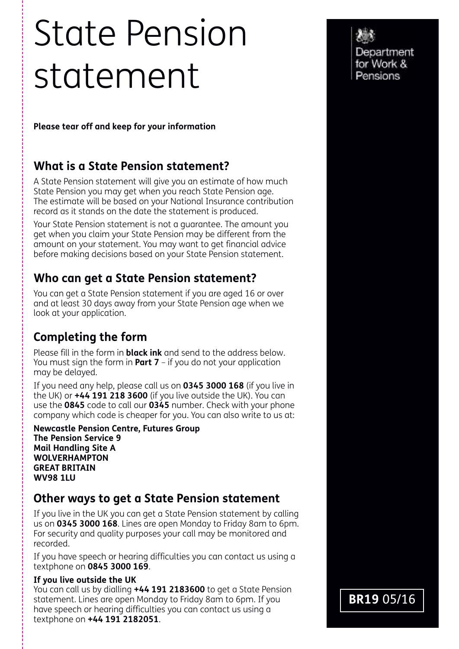# State Pension statement

**Please tear off and keep for your information**

## **What is a State Pension statement?**

A State Pension statement will give you an estimate of how much State Pension you may get when you reach State Pension age. The estimate will be based on your National Insurance contribution record as it stands on the date the statement is produced.

Your State Pension statement is not a guarantee. The amount you get when you claim your State Pension may be different from the amount on your statement. You may want to get financial advice before making decisions based on your State Pension statement.

# **Who can get a State Pension statement?**

You can get a State Pension statement if you are aged 16 or over and at least 30 days away from your State Pension age when we look at your application.

# **Completing the form**

Please fill in the form in **black ink** and send to the address below. You must sign the form in **Part 7** – if you do not your application may be delayed.

If you need any help, please call us on **0345 3000 168** (if you live in the UK) or **+44 191 218 3600** (if you live outside the UK). You can use the **0845** code to call our **0345** number. Check with your phone company which code is cheaper for you. You can also write to us at:

**Newcastle Pension Centre, Futures Group The Pension Service 9 Mail Handling Site A WOLVERHAMPTON GREAT BRITAIN WV98 1LU**

## **Other ways to get a State Pension statement**

If you live in the UK you can get a State Pension statement by calling us on **0345 3000 168**. Lines are open Monday to Friday 8am to 6pm. For security and quality purposes your call may be monitored and recorded.

If you have speech or hearing difficulties you can contact us using a textphone on **0845 3000 169**.

### **If you live outside the UK**

You can call us by dialling **+44 191 2183600** to get a State Pension statement. Lines are open Monday to Friday 8am to 6pm. If you have speech or hearing difficulties you can contact us using a textphone on **+44 191 2182051**.

Department for Work & Pensions

**BR19** 05/16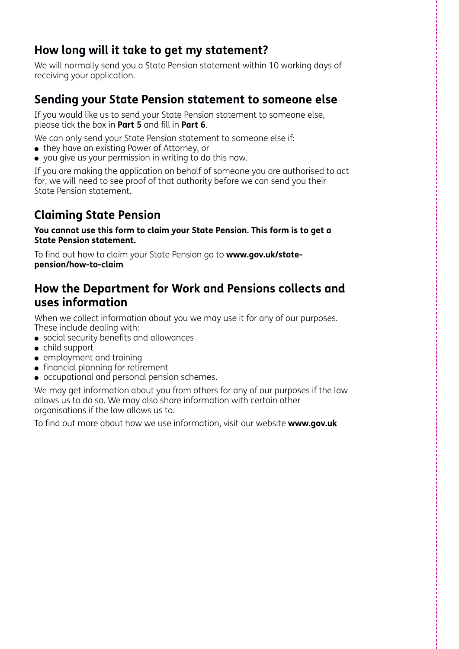## **How long will it take to get my statement?**

We will normally send you a State Pension statement within 10 working days of receiving your application.

## **Sending your State Pension statement to someone else**

If you would like us to send your State Pension statement to someone else, please tick the box in **Part 5** and fill in **Part 6**.

We can only send your State Pension statement to someone else if:

- they have an existing Power of Attorney, or
- you give us your permission in writing to do this now.

If you are making the application on behalf of someone you are authorised to act for, we will need to see proof of that authority before we can send you their State Pension statement.

# **Claiming State Pension**

**You cannot use this form to claim your State Pension. This form is to get a State Pension statement.**

To find out how to claim your State Pension go to **www.gov.uk/statepension/how-to-claim**

## **How the Department for Work and Pensions collects and uses information**

When we collect information about you we may use it for any of our purposes. These include dealing with:

- **•** social security benefits and allowances
- $\bullet$  child support
- **•** employment and training
- $\bullet$  financial planning for retirement
- occupational and personal pension schemes.

We may get information about you from others for any of our purposes if the law allows us to do so. We may also share information with certain other organisations if the law allows us to.

To find out more about how we use information, visit our website **www.gov.uk**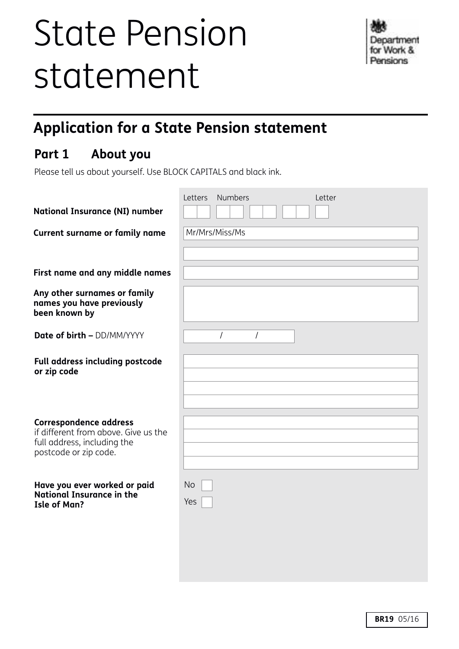# State Pension statement

# **Application for a State Pension statement**

# **Part 1 About you**

Please tell us about yourself. Use BLOCK CAPITALS and black ink.

| <b>National Insurance (NI) number</b>                                                                                         | <b>Numbers</b><br>Letters<br>Letter |
|-------------------------------------------------------------------------------------------------------------------------------|-------------------------------------|
|                                                                                                                               |                                     |
| <b>Current surname or family name</b>                                                                                         | Mr/Mrs/Miss/Ms                      |
| First name and any middle names                                                                                               |                                     |
| Any other surnames or family<br>names you have previously<br>been known by                                                    |                                     |
| <b>Date of birth - DD/MM/YYYY</b>                                                                                             | 1<br>$\prime$                       |
| Full address including postcode<br>or zip code                                                                                |                                     |
| <b>Correspondence address</b><br>if different from above. Give us the<br>full address, including the<br>postcode or zip code. |                                     |
| Have you ever worked or paid<br>National Insurance in the<br><b>Isle of Man?</b>                                              | <b>No</b><br>Yes                    |
|                                                                                                                               |                                     |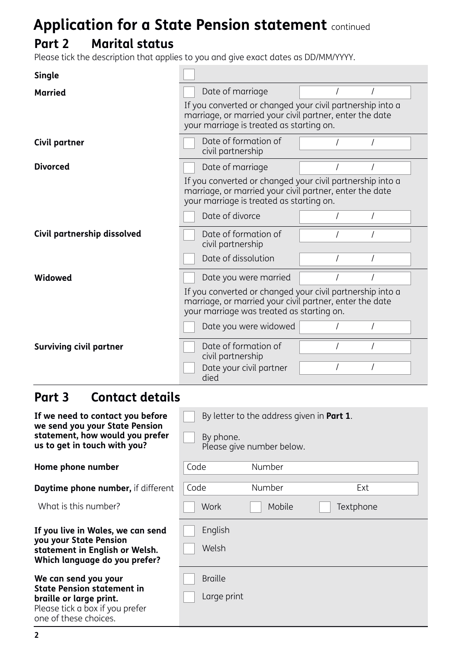# **Part 2 Marital status**

Please tick the description that applies to you and give exact dates as DD/MM/YYYY.

| <b>Single</b>                                                                                     |                                                                                                                                                                   |  |  |  |  |  |
|---------------------------------------------------------------------------------------------------|-------------------------------------------------------------------------------------------------------------------------------------------------------------------|--|--|--|--|--|
| <b>Married</b>                                                                                    | Date of marriage                                                                                                                                                  |  |  |  |  |  |
|                                                                                                   | If you converted or changed your civil partnership into a<br>marriage, or married your civil partner, enter the date<br>your marriage is treated as starting on.  |  |  |  |  |  |
| Civil partner                                                                                     | Date of formation of<br>civil partnership                                                                                                                         |  |  |  |  |  |
| <b>Divorced</b>                                                                                   | Date of marriage                                                                                                                                                  |  |  |  |  |  |
|                                                                                                   | If you converted or changed your civil partnership into a<br>marriage, or married your civil partner, enter the date<br>your marriage is treated as starting on.  |  |  |  |  |  |
|                                                                                                   | Date of divorce                                                                                                                                                   |  |  |  |  |  |
| Civil partnership dissolved                                                                       | Date of formation of<br>civil partnership                                                                                                                         |  |  |  |  |  |
|                                                                                                   | Date of dissolution                                                                                                                                               |  |  |  |  |  |
| Widowed                                                                                           | Date you were married                                                                                                                                             |  |  |  |  |  |
|                                                                                                   | If you converted or changed your civil partnership into a<br>marriage, or married your civil partner, enter the date<br>your marriage was treated as starting on. |  |  |  |  |  |
|                                                                                                   | Date you were widowed                                                                                                                                             |  |  |  |  |  |
| <b>Surviving civil partner</b>                                                                    | Date of formation of<br>civil partnership                                                                                                                         |  |  |  |  |  |
|                                                                                                   | Date your civil partner<br>died                                                                                                                                   |  |  |  |  |  |
| <b>Contact details</b><br>Part 3                                                                  |                                                                                                                                                                   |  |  |  |  |  |
| If we need to contact you before                                                                  | By letter to the address given in <b>Part 1</b> .                                                                                                                 |  |  |  |  |  |
| we send you your State Pension<br>statement, how would you prefer<br>us to get in touch with you? | By phone.<br>Please give number below.                                                                                                                            |  |  |  |  |  |
| Home phone number                                                                                 | Number<br>Code                                                                                                                                                    |  |  |  |  |  |
| Daytime phone number, if different                                                                | Code<br>Number<br>Ext                                                                                                                                             |  |  |  |  |  |
| What is this number?                                                                              | Work<br>Mobile<br>Textphone                                                                                                                                       |  |  |  |  |  |
| If you live in Wales, we can send                                                                 | English                                                                                                                                                           |  |  |  |  |  |
| you your State Pension<br>statement in English or Welsh.<br>Which language do you prefer?         | Welsh                                                                                                                                                             |  |  |  |  |  |
| We can send you your<br><b>State Pension statement in</b>                                         | <b>Braille</b>                                                                                                                                                    |  |  |  |  |  |
| braille or large print.<br>Please tick a box if you prefer<br>one of these choices.               | Large print                                                                                                                                                       |  |  |  |  |  |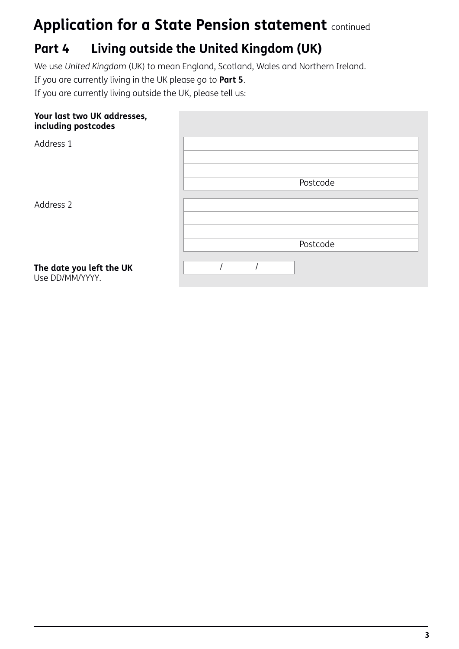# **Part 4 Living outside the United Kingdom (UK)**

We use *United Kingdom* (UK) to mean England, Scotland, Wales and Northern Ireland.

If you are currently living in the UK please go to **Part 5**.

If you are currently living outside the UK, please tell us:

### **Your last two UK addresses, including postcodes**

| - -                                         |          |
|---------------------------------------------|----------|
| Address 1                                   |          |
|                                             | Postcode |
| Address 2                                   |          |
|                                             | Postcode |
| The date you left the UK<br>Use DD/MM/YYYY. |          |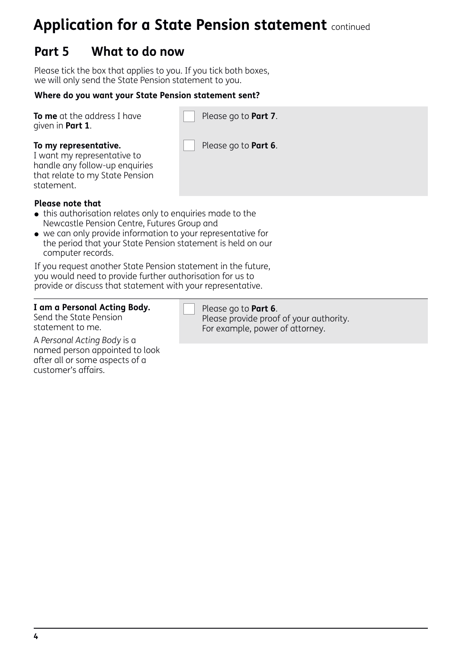# **Part 5 What to do now**

Please tick the box that applies to you. If you tick both boxes, we will only send the State Pension statement to you.

#### **Where do you want your State Pension statement sent?**

|                  | <b>To me</b> at the address I have |
|------------------|------------------------------------|
| given in Part 1. |                                    |

Please go to **Part 7**.

#### **To my representative.**

I want my representative to handle any follow-up enquiries that relate to my State Pension statement.

Please go to **Part 6**.

#### **Please note that**

- this authorisation relates only to enquiries made to the Newcastle Pension Centre, Futures Group and
- we can only provide information to your representative for the period that your State Pension statement is held on our computer records.

If you request another State Pension statement in the future, you would need to provide further authorisation for us to provide or discuss that statement with your representative.

#### **I am a Personal Acting Body.**

Send the State Pension statement to me.

A *Personal Acting Body* is a named person appointed to look after all or some aspects of a customer's affairs.

Please go to **Part 6**.

Please provide proof of your authority. For example, power of attorney.